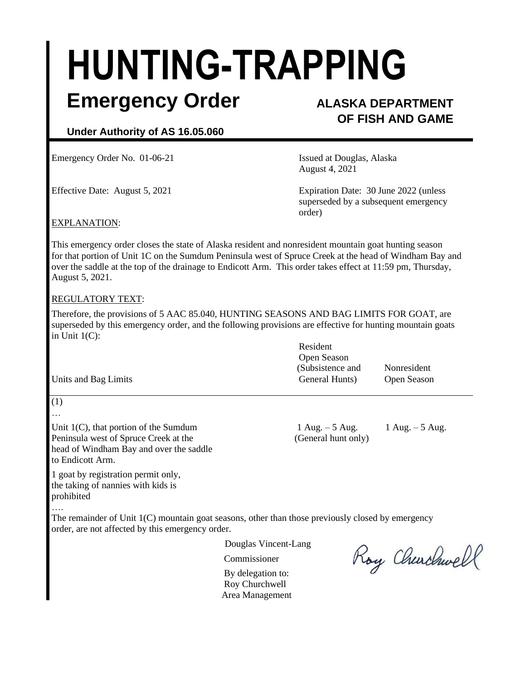# **HUNTING-TRAPPING**

### **Emergency Order ALASKA DEPARTMENT**

## **OF FISH AND GAME**

#### **Under Authority of AS 16.05.060**

Emergency Order No. 01-06-21 **ISSUE 18** Issued at Douglas, Alaska

August 4, 2021

Effective Date: August 5, 2021 Expiration Date: 30 June 2022 (unless superseded by a subsequent emergency order)

#### EXPLANATION:

This emergency order closes the state of Alaska resident and nonresident mountain goat hunting season for that portion of Unit 1C on the Sumdum Peninsula west of Spruce Creek at the head of Windham Bay and over the saddle at the top of the drainage to Endicott Arm. This order takes effect at 11:59 pm, Thursday, August 5, 2021.

#### REGULATORY TEXT:

(1) …

to Endicott Arm.

Therefore, the provisions of 5 AAC 85.040, HUNTING SEASONS AND BAG LIMITS FOR GOAT, are superseded by this emergency order, and the following provisions are effective for hunting mountain goats in Unit 1(C):

|                      | Resident         |             |
|----------------------|------------------|-------------|
|                      | Open Season      |             |
|                      | (Subsistence and | Nonresident |
| Units and Bag Limits | General Hunts)   | Open Season |

Unit 1(C), that portion of the Sumdum  $1 \text{ Aug.} - 5 \text{ Aug.} - 1 \text{ Aug.} - 5 \text{ Aug.}$ Peninsula west of Spruce Creek at the (General hunt only)

1 goat by registration permit only, the taking of nannies with kids is prohibited

head of Windham Bay and over the saddle

…. The remainder of Unit  $1(C)$  mountain goat seasons, other than those previously closed by emergency order, are not affected by this emergency order.

Douglas Vincent-Lang

Commissioner

By delegation to: Roy Churchwell Area Management

Roy Churchwell